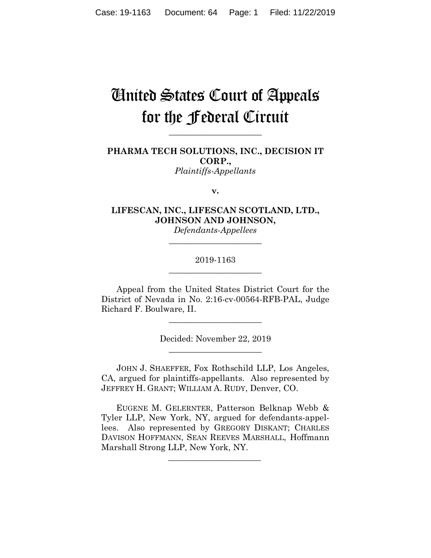# United States Court of Appeals for the Federal Circuit

**\_\_\_\_\_\_\_\_\_\_\_\_\_\_\_\_\_\_\_\_\_\_**

**PHARMA TECH SOLUTIONS, INC., DECISION IT CORP.,** *Plaintiffs-Appellants*

**v.**

**LIFESCAN, INC., LIFESCAN SCOTLAND, LTD., JOHNSON AND JOHNSON,** *Defendants-Appellees*

# 2019-1163 **\_\_\_\_\_\_\_\_\_\_\_\_\_\_\_\_\_\_\_\_\_\_**

**\_\_\_\_\_\_\_\_\_\_\_\_\_\_\_\_\_\_\_\_\_\_**

Appeal from the United States District Court for the District of Nevada in No. 2:16-cv-00564-RFB-PAL, Judge Richard F. Boulware, II.

**\_\_\_\_\_\_\_\_\_\_\_\_\_\_\_\_\_\_\_\_\_\_**

Decided: November 22, 2019 **\_\_\_\_\_\_\_\_\_\_\_\_\_\_\_\_\_\_\_\_\_\_**

JOHN J. SHAEFFER, Fox Rothschild LLP, Los Angeles, CA, argued for plaintiffs-appellants. Also represented by JEFFREY H. GRANT; WILLIAM A. RUDY, Denver, CO.

 EUGENE M. GELERNTER, Patterson Belknap Webb & Tyler LLP, New York, NY, argued for defendants-appellees. Also represented by GREGORY DISKANT; CHARLES DAVISON HOFFMANN, SEAN REEVES MARSHALL, Hoffmann Marshall Strong LLP, New York, NY.

 $\mathcal{L}_\text{max}$  and  $\mathcal{L}_\text{max}$  and  $\mathcal{L}_\text{max}$  and  $\mathcal{L}_\text{max}$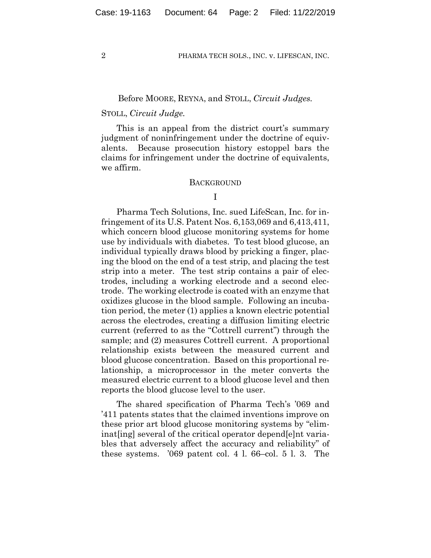## Before MOORE, REYNA, and STOLL, *Circuit Judges.*

# STOLL, *Circuit Judge.*

This is an appeal from the district court's summary judgment of noninfringement under the doctrine of equivalents. Because prosecution history estoppel bars the claims for infringement under the doctrine of equivalents, we affirm.

## **BACKGROUND**

# I

Pharma Tech Solutions, Inc. sued LifeScan, Inc. for infringement of its U.S. Patent Nos. 6,153,069 and 6,413,411, which concern blood glucose monitoring systems for home use by individuals with diabetes. To test blood glucose, an individual typically draws blood by pricking a finger, placing the blood on the end of a test strip, and placing the test strip into a meter. The test strip contains a pair of electrodes, including a working electrode and a second electrode. The working electrode is coated with an enzyme that oxidizes glucose in the blood sample. Following an incubation period, the meter (1) applies a known electric potential across the electrodes, creating a diffusion limiting electric current (referred to as the "Cottrell current") through the sample; and (2) measures Cottrell current. A proportional relationship exists between the measured current and blood glucose concentration. Based on this proportional relationship, a microprocessor in the meter converts the measured electric current to a blood glucose level and then reports the blood glucose level to the user.

The shared specification of Pharma Tech's '069 and '411 patents states that the claimed inventions improve on these prior art blood glucose monitoring systems by "eliminat[ing] several of the critical operator depend[e]nt variables that adversely affect the accuracy and reliability" of these systems. '069 patent col. 4 l. 66–col. 5 l. 3. The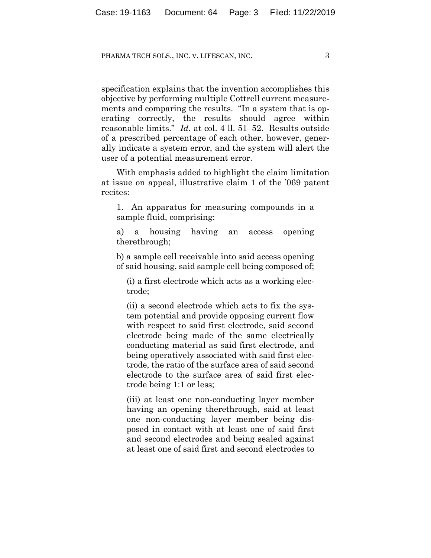specification explains that the invention accomplishes this objective by performing multiple Cottrell current measurements and comparing the results. "In a system that is operating correctly, the results should agree within reasonable limits." *Id.* at col. 4 ll. 51–52. Results outside of a prescribed percentage of each other, however, generally indicate a system error, and the system will alert the user of a potential measurement error.

With emphasis added to highlight the claim limitation at issue on appeal, illustrative claim 1 of the '069 patent recites:

1. An apparatus for measuring compounds in a sample fluid, comprising:

a) a housing having an access opening therethrough;

b) a sample cell receivable into said access opening of said housing, said sample cell being composed of;

(i) a first electrode which acts as a working electrode;

(ii) a second electrode which acts to fix the system potential and provide opposing current flow with respect to said first electrode, said second electrode being made of the same electrically conducting material as said first electrode, and being operatively associated with said first electrode, the ratio of the surface area of said second electrode to the surface area of said first electrode being 1:1 or less;

(iii) at least one non-conducting layer member having an opening therethrough, said at least one non-conducting layer member being disposed in contact with at least one of said first and second electrodes and being sealed against at least one of said first and second electrodes to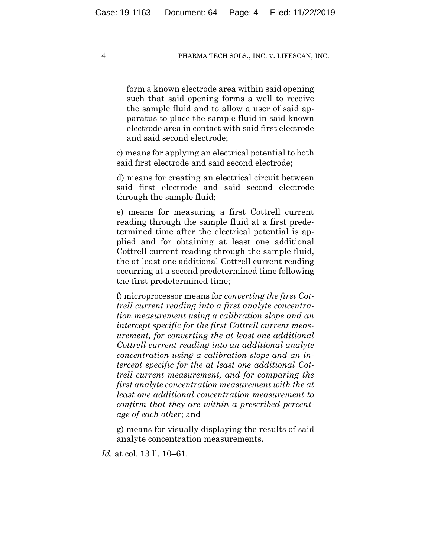form a known electrode area within said opening such that said opening forms a well to receive the sample fluid and to allow a user of said apparatus to place the sample fluid in said known electrode area in contact with said first electrode and said second electrode;

c) means for applying an electrical potential to both said first electrode and said second electrode;

d) means for creating an electrical circuit between said first electrode and said second electrode through the sample fluid;

e) means for measuring a first Cottrell current reading through the sample fluid at a first predetermined time after the electrical potential is applied and for obtaining at least one additional Cottrell current reading through the sample fluid, the at least one additional Cottrell current reading occurring at a second predetermined time following the first predetermined time;

f) microprocessor means for *converting the first Cottrell current reading into a first analyte concentration measurement using a calibration slope and an intercept specific for the first Cottrell current measurement, for converting the at least one additional Cottrell current reading into an additional analyte concentration using a calibration slope and an intercept specific for the at least one additional Cottrell current measurement, and for comparing the first analyte concentration measurement with the at least one additional concentration measurement to confirm that they are within a prescribed percentage of each other*; and

g) means for visually displaying the results of said analyte concentration measurements.

*Id.* at col. 13 ll. 10–61.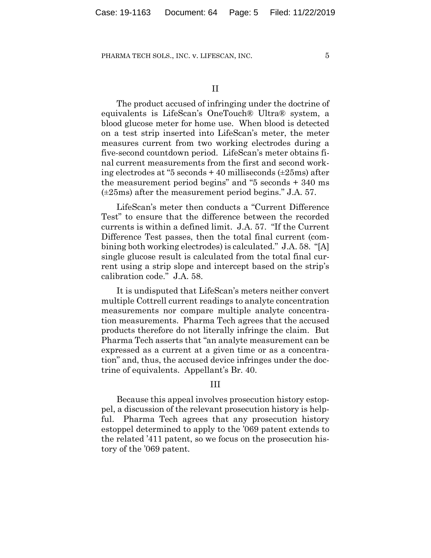The product accused of infringing under the doctrine of equivalents is LifeScan's OneTouch® Ultra® system, a blood glucose meter for home use. When blood is detected on a test strip inserted into LifeScan's meter, the meter measures current from two working electrodes during a five-second countdown period. LifeScan's meter obtains final current measurements from the first and second working electrodes at "5 seconds + 40 milliseconds (±25ms) after the measurement period begins" and "5 seconds + 340 ms (±25ms) after the measurement period begins." J.A. 57.

LifeScan's meter then conducts a "Current Difference Test" to ensure that the difference between the recorded currents is within a defined limit. J.A. 57. "If the Current Difference Test passes, then the total final current (combining both working electrodes) is calculated." J.A. 58. "[A] single glucose result is calculated from the total final current using a strip slope and intercept based on the strip's calibration code." J.A. 58.

It is undisputed that LifeScan's meters neither convert multiple Cottrell current readings to analyte concentration measurements nor compare multiple analyte concentration measurements. Pharma Tech agrees that the accused products therefore do not literally infringe the claim. But Pharma Tech asserts that "an analyte measurement can be expressed as a current at a given time or as a concentration" and, thus, the accused device infringes under the doctrine of equivalents. Appellant's Br. 40.

# III

Because this appeal involves prosecution history estoppel, a discussion of the relevant prosecution history is helpful. Pharma Tech agrees that any prosecution history estoppel determined to apply to the '069 patent extends to the related '411 patent, so we focus on the prosecution history of the '069 patent.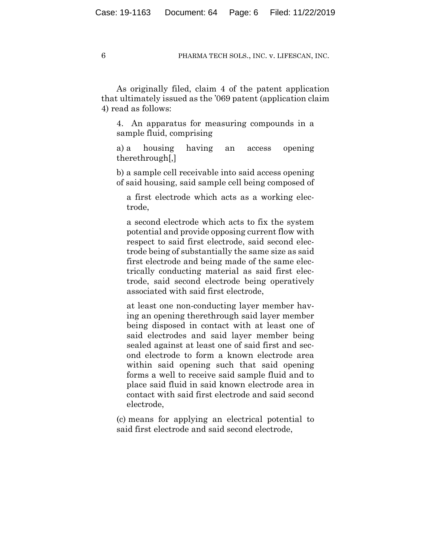As originally filed, claim 4 of the patent application that ultimately issued as the '069 patent (application claim 4) read as follows:

4. An apparatus for measuring compounds in a sample fluid, comprising

a) a housing having an access opening therethrough[,]

b) a sample cell receivable into said access opening of said housing, said sample cell being composed of

a first electrode which acts as a working electrode,

a second electrode which acts to fix the system potential and provide opposing current flow with respect to said first electrode, said second electrode being of substantially the same size as said first electrode and being made of the same electrically conducting material as said first electrode, said second electrode being operatively associated with said first electrode,

at least one non-conducting layer member having an opening therethrough said layer member being disposed in contact with at least one of said electrodes and said layer member being sealed against at least one of said first and second electrode to form a known electrode area within said opening such that said opening forms a well to receive said sample fluid and to place said fluid in said known electrode area in contact with said first electrode and said second electrode,

(c) means for applying an electrical potential to said first electrode and said second electrode,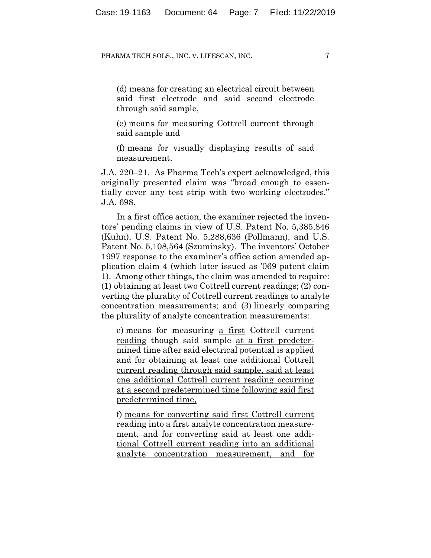(d) means for creating an electrical circuit between said first electrode and said second electrode through said sample,

(e) means for measuring Cottrell current through said sample and

(f) means for visually displaying results of said measurement.

J.A. 220–21. As Pharma Tech's expert acknowledged, this originally presented claim was "broad enough to essentially cover any test strip with two working electrodes." J.A. 698.

In a first office action, the examiner rejected the inventors' pending claims in view of U.S. Patent No. 5,385,846 (Kuhn), U.S. Patent No. 5,288,636 (Pollmann), and U.S. Patent No. 5,108,564 (Szuminsky). The inventors' October 1997 response to the examiner's office action amended application claim 4 (which later issued as '069 patent claim 1). Among other things, the claim was amended to require: (1) obtaining at least two Cottrell current readings; (2) converting the plurality of Cottrell current readings to analyte concentration measurements; and (3) linearly comparing the plurality of analyte concentration measurements:

e) means for measuring a first Cottrell current reading though said sample at a first predetermined time after said electrical potential is applied and for obtaining at least one additional Cottrell current reading through said sample, said at least one additional Cottrell current reading occurring at a second predetermined time following said first predetermined time,

f) means for converting said first Cottrell current reading into a first analyte concentration measurement, and for converting said at least one additional Cottrell current reading into an additional analyte concentration measurement, and for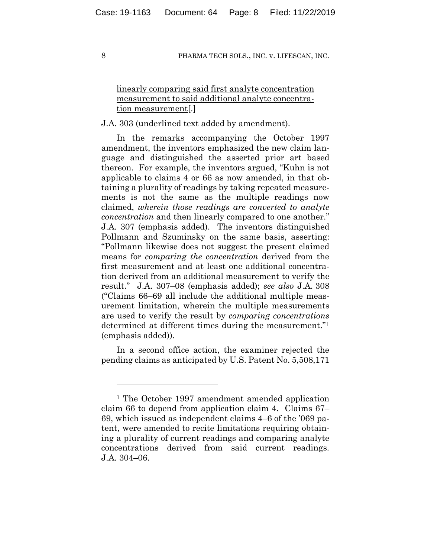# linearly comparing said first analyte concentration measurement to said additional analyte concentration measurement[.]

# J.A. 303 (underlined text added by amendment).

In the remarks accompanying the October 1997 amendment, the inventors emphasized the new claim language and distinguished the asserted prior art based thereon. For example, the inventors argued, "Kuhn is not applicable to claims 4 or 66 as now amended, in that obtaining a plurality of readings by taking repeated measurements is not the same as the multiple readings now claimed, *wherein those readings are converted to analyte concentration* and then linearly compared to one another." J.A. 307 (emphasis added). The inventors distinguished Pollmann and Szuminsky on the same basis, asserting: "Pollmann likewise does not suggest the present claimed means for *comparing the concentration* derived from the first measurement and at least one additional concentration derived from an additional measurement to verify the result." J.A. 307–08 (emphasis added); *see also* J.A. 308 ("Claims 66–69 all include the additional multiple measurement limitation, wherein the multiple measurements are used to verify the result by *comparing concentrations* determined at different times during the measurement."1 (emphasis added)).

In a second office action, the examiner rejected the pending claims as anticipated by U.S. Patent No. 5,508,171

<u>.</u>

<sup>1</sup> The October 1997 amendment amended application claim 66 to depend from application claim 4. Claims 67– 69, which issued as independent claims 4–6 of the '069 patent, were amended to recite limitations requiring obtaining a plurality of current readings and comparing analyte concentrations derived from said current readings. J.A. 304–06.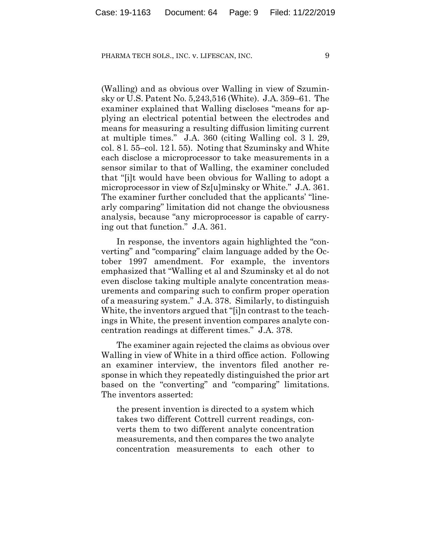(Walling) and as obvious over Walling in view of Szuminsky or U.S. Patent No. 5,243,516 (White). J.A. 359–61. The examiner explained that Walling discloses "means for applying an electrical potential between the electrodes and means for measuring a resulting diffusion limiting current at multiple times." J.A. 360 (citing Walling col. 3 l. 29, col. 8 l. 55–col. 12 l. 55). Noting that Szuminsky and White each disclose a microprocessor to take measurements in a sensor similar to that of Walling, the examiner concluded that "[i]t would have been obvious for Walling to adopt a microprocessor in view of Sz[u]minsky or White." J.A. 361. The examiner further concluded that the applicants' "linearly comparing" limitation did not change the obviousness analysis, because "any microprocessor is capable of carrying out that function." J.A. 361.

In response, the inventors again highlighted the "converting" and "comparing" claim language added by the October 1997 amendment. For example, the inventors emphasized that "Walling et al and Szuminsky et al do not even disclose taking multiple analyte concentration measurements and comparing such to confirm proper operation of a measuring system." J.A. 378. Similarly, to distinguish White, the inventors argued that "[i]n contrast to the teachings in White, the present invention compares analyte concentration readings at different times." J.A. 378.

The examiner again rejected the claims as obvious over Walling in view of White in a third office action. Following an examiner interview, the inventors filed another response in which they repeatedly distinguished the prior art based on the "converting" and "comparing" limitations. The inventors asserted:

the present invention is directed to a system which takes two different Cottrell current readings, converts them to two different analyte concentration measurements, and then compares the two analyte concentration measurements to each other to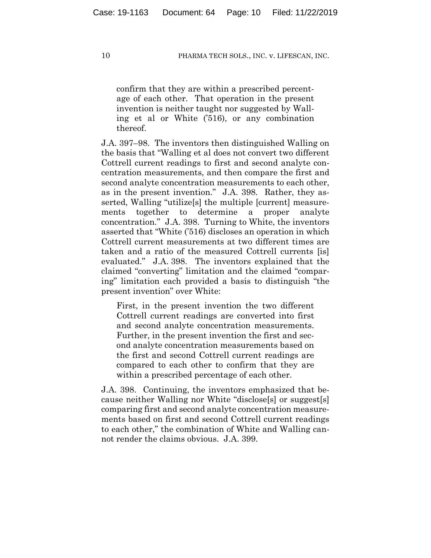confirm that they are within a prescribed percentage of each other. That operation in the present invention is neither taught nor suggested by Walling et al or White ('516), or any combination thereof.

J.A. 397–98. The inventors then distinguished Walling on the basis that "Walling et al does not convert two different Cottrell current readings to first and second analyte concentration measurements, and then compare the first and second analyte concentration measurements to each other, as in the present invention." J.A. 398. Rather, they asserted, Walling "utilize[s] the multiple [current] measurements together to determine a proper analyte concentration." J.A. 398. Turning to White, the inventors asserted that "White ('516) discloses an operation in which Cottrell current measurements at two different times are taken and a ratio of the measured Cottrell currents [is] evaluated." J.A. 398. The inventors explained that the claimed "converting" limitation and the claimed "comparing" limitation each provided a basis to distinguish "the present invention" over White:

First, in the present invention the two different Cottrell current readings are converted into first and second analyte concentration measurements. Further, in the present invention the first and second analyte concentration measurements based on the first and second Cottrell current readings are compared to each other to confirm that they are within a prescribed percentage of each other.

J.A. 398. Continuing, the inventors emphasized that because neither Walling nor White "disclose[s] or suggest[s] comparing first and second analyte concentration measurements based on first and second Cottrell current readings to each other," the combination of White and Walling cannot render the claims obvious. J.A. 399.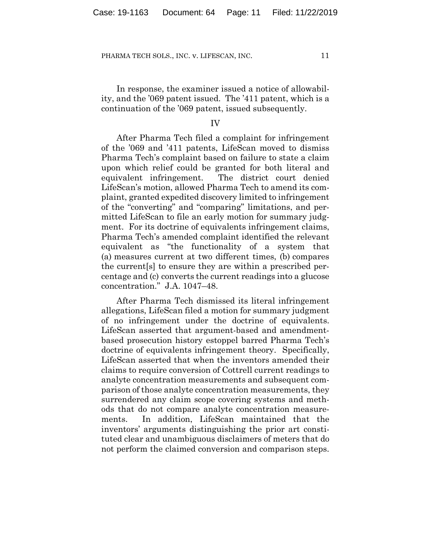In response, the examiner issued a notice of allowability, and the '069 patent issued. The '411 patent, which is a continuation of the '069 patent, issued subsequently.

## IV

After Pharma Tech filed a complaint for infringement of the '069 and '411 patents, LifeScan moved to dismiss Pharma Tech's complaint based on failure to state a claim upon which relief could be granted for both literal and equivalent infringement. The district court denied LifeScan's motion, allowed Pharma Tech to amend its complaint, granted expedited discovery limited to infringement of the "converting" and "comparing" limitations, and permitted LifeScan to file an early motion for summary judgment. For its doctrine of equivalents infringement claims, Pharma Tech's amended complaint identified the relevant equivalent as "the functionality of a system that (a) measures current at two different times, (b) compares the current[s] to ensure they are within a prescribed percentage and (c) converts the current readings into a glucose concentration." J.A. 1047–48.

After Pharma Tech dismissed its literal infringement allegations, LifeScan filed a motion for summary judgment of no infringement under the doctrine of equivalents. LifeScan asserted that argument-based and amendmentbased prosecution history estoppel barred Pharma Tech's doctrine of equivalents infringement theory. Specifically, LifeScan asserted that when the inventors amended their claims to require conversion of Cottrell current readings to analyte concentration measurements and subsequent comparison of those analyte concentration measurements, they surrendered any claim scope covering systems and methods that do not compare analyte concentration measurements. In addition, LifeScan maintained that the inventors' arguments distinguishing the prior art constituted clear and unambiguous disclaimers of meters that do not perform the claimed conversion and comparison steps.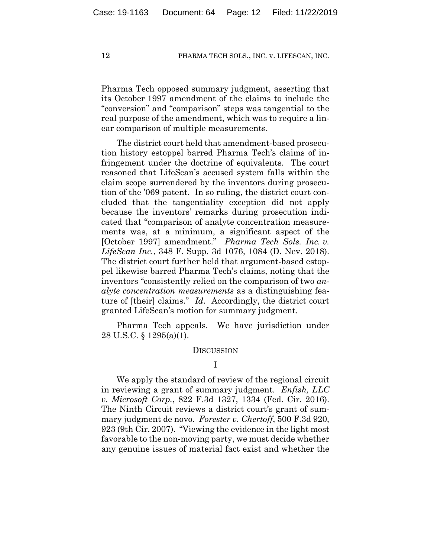Pharma Tech opposed summary judgment, asserting that its October 1997 amendment of the claims to include the "conversion" and "comparison" steps was tangential to the real purpose of the amendment, which was to require a linear comparison of multiple measurements.

The district court held that amendment-based prosecution history estoppel barred Pharma Tech's claims of infringement under the doctrine of equivalents. The court reasoned that LifeScan's accused system falls within the claim scope surrendered by the inventors during prosecution of the '069 patent. In so ruling, the district court concluded that the tangentiality exception did not apply because the inventors' remarks during prosecution indicated that "comparison of analyte concentration measurements was, at a minimum, a significant aspect of the [October 1997] amendment." *Pharma Tech Sols. Inc. v. LifeScan Inc.*, 348 F. Supp. 3d 1076, 1084 (D. Nev. 2018). The district court further held that argument-based estoppel likewise barred Pharma Tech's claims, noting that the inventors "consistently relied on the comparison of two *analyte concentration measurements* as a distinguishing feature of [their] claims." *Id*. Accordingly, the district court granted LifeScan's motion for summary judgment.

Pharma Tech appeals. We have jurisdiction under 28 U.S.C. § 1295(a)(1).

#### **DISCUSSION**

We apply the standard of review of the regional circuit in reviewing a grant of summary judgment. *Enfish, LLC v. Microsoft Corp.*, 822 F.3d 1327, 1334 (Fed. Cir. 2016). The Ninth Circuit reviews a district court's grant of summary judgment de novo. *Forester v. Chertoff*, 500 F.3d 920, 923 (9th Cir. 2007). "Viewing the evidence in the light most favorable to the non-moving party, we must decide whether any genuine issues of material fact exist and whether the

I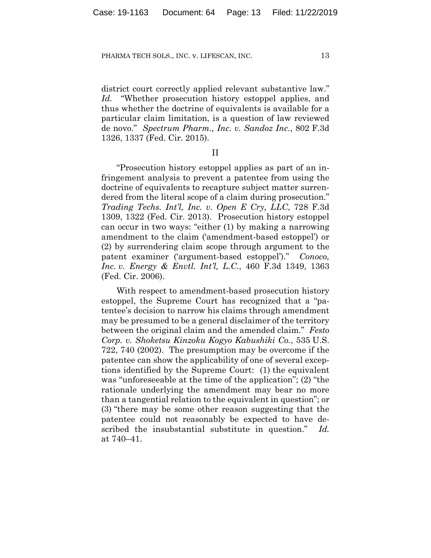district court correctly applied relevant substantive law." *Id.* "Whether prosecution history estoppel applies, and thus whether the doctrine of equivalents is available for a particular claim limitation, is a question of law reviewed de novo." *Spectrum Pharm., Inc. v. Sandoz Inc.*, 802 F.3d 1326, 1337 (Fed. Cir. 2015).

II

"Prosecution history estoppel applies as part of an infringement analysis to prevent a patentee from using the doctrine of equivalents to recapture subject matter surrendered from the literal scope of a claim during prosecution." *Trading Techs. Int'l, Inc. v. Open E Cry, LLC*, 728 F.3d 1309, 1322 (Fed. Cir. 2013). Prosecution history estoppel can occur in two ways: "either (1) by making a narrowing amendment to the claim ('amendment-based estoppel') or (2) by surrendering claim scope through argument to the patent examiner ('argument-based estoppel')." *Conoco, Inc. v. Energy & Envtl. Int'l, L.C.*, 460 F.3d 1349, 1363 (Fed. Cir. 2006).

With respect to amendment-based prosecution history estoppel, the Supreme Court has recognized that a "patentee's decision to narrow his claims through amendment may be presumed to be a general disclaimer of the territory between the original claim and the amended claim." *Festo Corp. v. Shoketsu Kinzoku Kogyo Kabushiki Co.*, 535 U.S. 722, 740 (2002). The presumption may be overcome if the patentee can show the applicability of one of several exceptions identified by the Supreme Court: (1) the equivalent was "unforeseeable at the time of the application"; (2) "the rationale underlying the amendment may bear no more than a tangential relation to the equivalent in question"; or (3) "there may be some other reason suggesting that the patentee could not reasonably be expected to have described the insubstantial substitute in question." *Id.* at 740–41.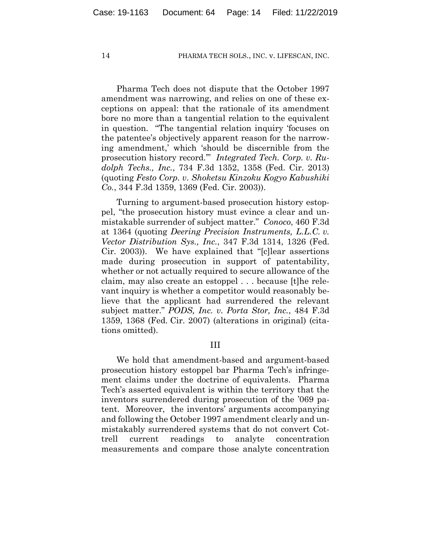Pharma Tech does not dispute that the October 1997 amendment was narrowing, and relies on one of these exceptions on appeal: that the rationale of its amendment bore no more than a tangential relation to the equivalent in question. "The tangential relation inquiry 'focuses on the patentee's objectively apparent reason for the narrowing amendment,' which 'should be discernible from the prosecution history record.'" *Integrated Tech. Corp. v. Rudolph Techs., Inc.*, 734 F.3d 1352, 1358 (Fed. Cir. 2013) (quoting *Festo Corp. v. Shoketsu Kinzoku Kogyo Kabushiki Co.*, 344 F.3d 1359, 1369 (Fed. Cir. 2003)).

Turning to argument-based prosecution history estoppel, "the prosecution history must evince a clear and unmistakable surrender of subject matter." *Conoco*, 460 F.3d at 1364 (quoting *Deering Precision Instruments, L.L.C. v. Vector Distribution Sys., Inc.*, 347 F.3d 1314, 1326 (Fed. Cir. 2003)). We have explained that "[c]lear assertions made during prosecution in support of patentability, whether or not actually required to secure allowance of the claim, may also create an estoppel . . . because [t]he relevant inquiry is whether a competitor would reasonably believe that the applicant had surrendered the relevant subject matter." *PODS, Inc. v. Porta Stor, Inc.*, 484 F.3d 1359, 1368 (Fed. Cir. 2007) (alterations in original) (citations omitted).

# III

We hold that amendment-based and argument-based prosecution history estoppel bar Pharma Tech's infringement claims under the doctrine of equivalents. Pharma Tech's asserted equivalent is within the territory that the inventors surrendered during prosecution of the '069 patent. Moreover, the inventors' arguments accompanying and following the October 1997 amendment clearly and unmistakably surrendered systems that do not convert Cottrell current readings to analyte concentration measurements and compare those analyte concentration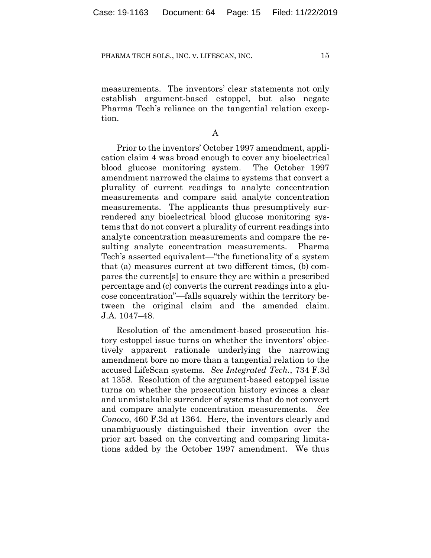measurements. The inventors' clear statements not only establish argument-based estoppel, but also negate Pharma Tech's reliance on the tangential relation exception.

A

Prior to the inventors' October 1997 amendment, application claim 4 was broad enough to cover any bioelectrical blood glucose monitoring system. The October 1997 amendment narrowed the claims to systems that convert a plurality of current readings to analyte concentration measurements and compare said analyte concentration measurements. The applicants thus presumptively surrendered any bioelectrical blood glucose monitoring systems that do not convert a plurality of current readings into analyte concentration measurements and compare the resulting analyte concentration measurements. Pharma Tech's asserted equivalent—"the functionality of a system that (a) measures current at two different times, (b) compares the current[s] to ensure they are within a prescribed percentage and (c) converts the current readings into a glucose concentration"—falls squarely within the territory between the original claim and the amended claim. J.A. 1047–48.

Resolution of the amendment-based prosecution history estoppel issue turns on whether the inventors' objectively apparent rationale underlying the narrowing amendment bore no more than a tangential relation to the accused LifeScan systems. *See Integrated Tech.*, 734 F.3d at 1358. Resolution of the argument-based estoppel issue turns on whether the prosecution history evinces a clear and unmistakable surrender of systems that do not convert and compare analyte concentration measurements. *See Conoco*, 460 F.3d at 1364. Here, the inventors clearly and unambiguously distinguished their invention over the prior art based on the converting and comparing limitations added by the October 1997 amendment. We thus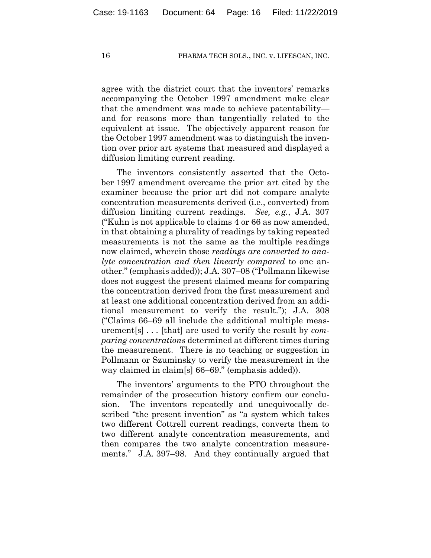agree with the district court that the inventors' remarks accompanying the October 1997 amendment make clear that the amendment was made to achieve patentability and for reasons more than tangentially related to the equivalent at issue. The objectively apparent reason for the October 1997 amendment was to distinguish the invention over prior art systems that measured and displayed a diffusion limiting current reading.

The inventors consistently asserted that the October 1997 amendment overcame the prior art cited by the examiner because the prior art did not compare analyte concentration measurements derived (i.e., converted) from diffusion limiting current readings. *See, e.g.*, J.A. 307 ("Kuhn is not applicable to claims 4 or 66 as now amended, in that obtaining a plurality of readings by taking repeated measurements is not the same as the multiple readings now claimed, wherein those *readings are converted to analyte concentration and then linearly compared* to one another." (emphasis added)); J.A. 307–08 ("Pollmann likewise does not suggest the present claimed means for comparing the concentration derived from the first measurement and at least one additional concentration derived from an additional measurement to verify the result."); J.A. 308 ("Claims 66–69 all include the additional multiple measurement[s] . . . [that] are used to verify the result by *comparing concentrations* determined at different times during the measurement. There is no teaching or suggestion in Pollmann or Szuminsky to verify the measurement in the way claimed in claim[s] 66–69." (emphasis added)).

The inventors' arguments to the PTO throughout the remainder of the prosecution history confirm our conclusion. The inventors repeatedly and unequivocally described "the present invention" as "a system which takes two different Cottrell current readings, converts them to two different analyte concentration measurements, and then compares the two analyte concentration measurements." J.A. 397–98. And they continually argued that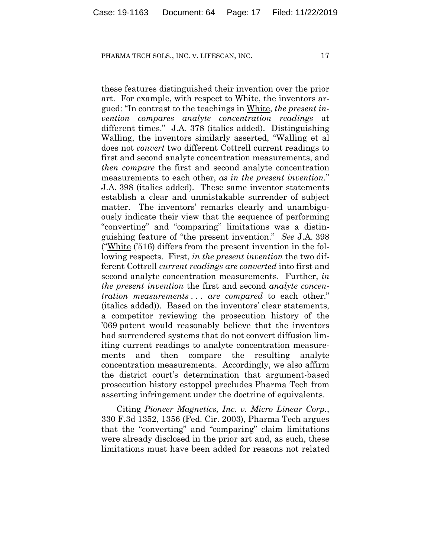these features distinguished their invention over the prior art. For example, with respect to White, the inventors argued: "In contrast to the teachings in White, *the present invention compares analyte concentration readings* at different times." J.A. 378 (italics added). Distinguishing Walling, the inventors similarly asserted, "Walling et al does not *convert* two different Cottrell current readings to first and second analyte concentration measurements, and *then compare* the first and second analyte concentration measurements to each other, *as in the present invention*." J.A. 398 (italics added). These same inventor statements establish a clear and unmistakable surrender of subject matter. The inventors' remarks clearly and unambiguously indicate their view that the sequence of performing "converting" and "comparing" limitations was a distinguishing feature of "the present invention." *See* J.A. 398 ("White ('516) differs from the present invention in the following respects. First, *in the present invention* the two different Cottrell *current readings are converted* into first and second analyte concentration measurements. Further, *in the present invention* the first and second *analyte concentration measurements . . . are compared* to each other." (italics added)). Based on the inventors' clear statements, a competitor reviewing the prosecution history of the '069 patent would reasonably believe that the inventors had surrendered systems that do not convert diffusion limiting current readings to analyte concentration measurements and then compare the resulting analyte concentration measurements. Accordingly, we also affirm the district court's determination that argument-based prosecution history estoppel precludes Pharma Tech from asserting infringement under the doctrine of equivalents.

Citing *Pioneer Magnetics, Inc. v. Micro Linear Corp.*, 330 F.3d 1352, 1356 (Fed. Cir. 2003), Pharma Tech argues that the "converting" and "comparing" claim limitations were already disclosed in the prior art and, as such, these limitations must have been added for reasons not related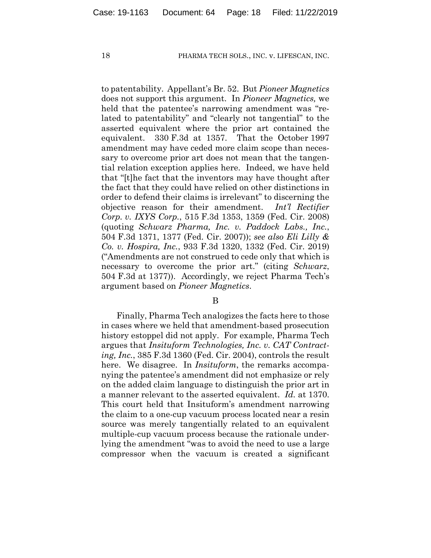to patentability. Appellant's Br. 52. But *Pioneer Magnetics* does not support this argument. In *Pioneer Magnetics,* we held that the patentee's narrowing amendment was "related to patentability" and "clearly not tangential" to the asserted equivalent where the prior art contained the equivalent. 330 F.3d at 1357. That the October 1997 amendment may have ceded more claim scope than necessary to overcome prior art does not mean that the tangential relation exception applies here. Indeed, we have held that "[t]he fact that the inventors may have thought after the fact that they could have relied on other distinctions in order to defend their claims is irrelevant" to discerning the objective reason for their amendment. *Int'l Rectifier Corp. v. IXYS Corp.*, 515 F.3d 1353, 1359 (Fed. Cir. 2008) (quoting *Schwarz Pharma, Inc. v. Paddock Labs., Inc.*, 504 F.3d 1371, 1377 (Fed. Cir. 2007)); *see also Eli Lilly & Co. v. Hospira, Inc.*, 933 F.3d 1320, 1332 (Fed. Cir. 2019) ("Amendments are not construed to cede only that which is necessary to overcome the prior art." (citing *Schwarz*, 504 F.3d at 1377)). Accordingly, we reject Pharma Tech's argument based on *Pioneer Magnetics*.

B

Finally, Pharma Tech analogizes the facts here to those in cases where we held that amendment-based prosecution history estoppel did not apply. For example, Pharma Tech argues that *Insituform Technologies, Inc. v. CAT Contracting, Inc.*, 385 F.3d 1360 (Fed. Cir. 2004), controls the result here. We disagree. In *Insituform*, the remarks accompanying the patentee's amendment did not emphasize or rely on the added claim language to distinguish the prior art in a manner relevant to the asserted equivalent. *Id.* at 1370. This court held that Insituform's amendment narrowing the claim to a one-cup vacuum process located near a resin source was merely tangentially related to an equivalent multiple-cup vacuum process because the rationale underlying the amendment "was to avoid the need to use a large compressor when the vacuum is created a significant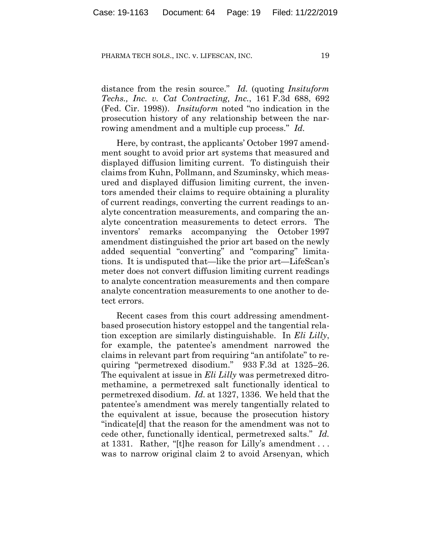distance from the resin source." *Id.* (quoting *Insituform Techs., Inc. v. Cat Contracting, Inc.*, 161 F.3d 688, 692 (Fed. Cir. 1998)). *Insituform* noted "no indication in the prosecution history of any relationship between the narrowing amendment and a multiple cup process." *Id.*

Here, by contrast, the applicants' October 1997 amendment sought to avoid prior art systems that measured and displayed diffusion limiting current. To distinguish their claims from Kuhn, Pollmann, and Szuminsky, which measured and displayed diffusion limiting current, the inventors amended their claims to require obtaining a plurality of current readings, converting the current readings to analyte concentration measurements, and comparing the analyte concentration measurements to detect errors. The inventors' remarks accompanying the October 1997 amendment distinguished the prior art based on the newly added sequential "converting" and "comparing" limitations. It is undisputed that—like the prior art—LifeScan's meter does not convert diffusion limiting current readings to analyte concentration measurements and then compare analyte concentration measurements to one another to detect errors.

Recent cases from this court addressing amendmentbased prosecution history estoppel and the tangential relation exception are similarly distinguishable. In *Eli Lilly*, for example, the patentee's amendment narrowed the claims in relevant part from requiring "an antifolate" to requiring "permetrexed disodium." 933 F.3d at 1325–26. The equivalent at issue in *Eli Lilly* was permetrexed ditromethamine, a permetrexed salt functionally identical to permetrexed disodium. *Id.* at 1327, 1336. We held that the patentee's amendment was merely tangentially related to the equivalent at issue, because the prosecution history "indicate[d] that the reason for the amendment was not to cede other, functionally identical, permetrexed salts." *Id.* at 1331. Rather, "[t]he reason for Lilly's amendment . . . was to narrow original claim 2 to avoid Arsenyan, which